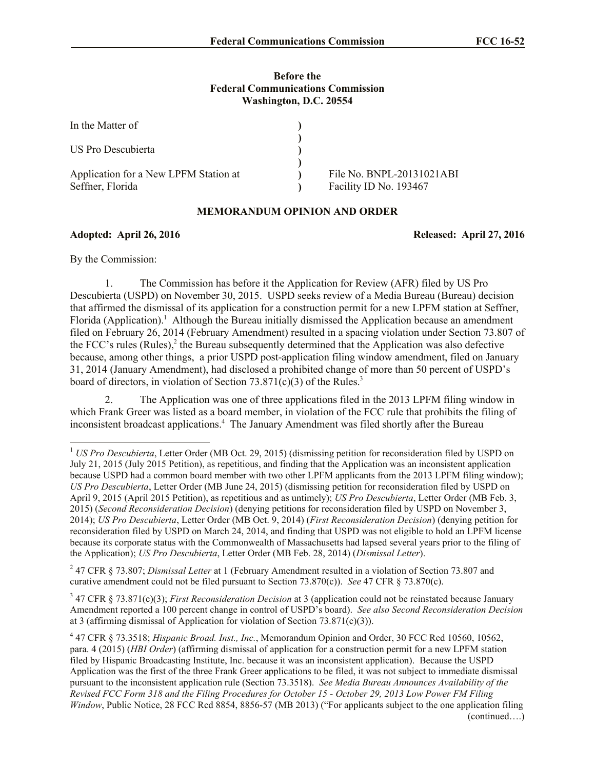## **Before the Federal Communications Commission Washington, D.C. 20554**

| In the Matter of                      |                           |
|---------------------------------------|---------------------------|
|                                       |                           |
| US Pro Descubierta                    |                           |
|                                       |                           |
| Application for a New LPFM Station at | File No. BNPL-20131021ABI |
| Seffner, Florida                      | Facility ID No. 193467    |

## **MEMORANDUM OPINION AND ORDER**

**Adopted: April 26, 2016 Released: April 27, 2016**

By the Commission:

l

1. The Commission has before it the Application for Review (AFR) filed by US Pro Descubierta (USPD) on November 30, 2015. USPD seeks review of a Media Bureau (Bureau) decision that affirmed the dismissal of its application for a construction permit for a new LPFM station at Seffner, Florida (Application).<sup>1</sup> Although the Bureau initially dismissed the Application because an amendment filed on February 26, 2014 (February Amendment) resulted in a spacing violation under Section 73.807 of the FCC's rules (Rules), $2$  the Bureau subsequently determined that the Application was also defective because, among other things, a prior USPD post-application filing window amendment, filed on January 31, 2014 (January Amendment), had disclosed a prohibited change of more than 50 percent of USPD's board of directors, in violation of Section 73.871(c)(3) of the Rules.<sup>3</sup>

2. The Application was one of three applications filed in the 2013 LPFM filing window in which Frank Greer was listed as a board member, in violation of the FCC rule that prohibits the filing of inconsistent broadcast applications.<sup>4</sup> The January Amendment was filed shortly after the Bureau

2 47 CFR § 73.807; *Dismissal Letter* at 1 (February Amendment resulted in a violation of Section 73.807 and curative amendment could not be filed pursuant to Section 73.870(c)). *See* 47 CFR § 73.870(c).

3 47 CFR § 73.871(c)(3); *First Reconsideration Decision* at 3 (application could not be reinstated because January Amendment reported a 100 percent change in control of USPD's board). *See also Second Reconsideration Decision* at 3 (affirming dismissal of Application for violation of Section 73.871(c)(3)).

<sup>&</sup>lt;sup>1</sup> *US Pro Descubierta*, Letter Order (MB Oct. 29, 2015) (dismissing petition for reconsideration filed by USPD on July 21, 2015 (July 2015 Petition), as repetitious, and finding that the Application was an inconsistent application because USPD had a common board member with two other LPFM applicants from the 2013 LPFM filing window); *US Pro Descubierta*, Letter Order (MB June 24, 2015) (dismissing petition for reconsideration filed by USPD on April 9, 2015 (April 2015 Petition), as repetitious and as untimely); *US Pro Descubierta*, Letter Order (MB Feb. 3, 2015) (*Second Reconsideration Decision*) (denying petitions for reconsideration filed by USPD on November 3, 2014); *US Pro Descubierta*, Letter Order (MB Oct. 9, 2014) (*First Reconsideration Decision*) (denying petition for reconsideration filed by USPD on March 24, 2014, and finding that USPD was not eligible to hold an LPFM license because its corporate status with the Commonwealth of Massachusetts had lapsed several years prior to the filing of the Application); *US Pro Descubierta*, Letter Order (MB Feb. 28, 2014) (*Dismissal Letter*).

<sup>4</sup> 47 CFR § 73.3518; *Hispanic Broad. Inst., Inc.*, Memorandum Opinion and Order, 30 FCC Rcd 10560, 10562, para. 4 (2015) (*HBI Order*) (affirming dismissal of application for a construction permit for a new LPFM station filed by Hispanic Broadcasting Institute, Inc. because it was an inconsistent application). Because the USPD Application was the first of the three Frank Greer applications to be filed, it was not subject to immediate dismissal pursuant to the inconsistent application rule (Section 73.3518). *See Media Bureau Announces Availability of the Revised FCC Form 318 and the Filing Procedures for October 15 - October 29, 2013 Low Power FM Filing Window*, Public Notice, 28 FCC Rcd 8854, 8856-57 (MB 2013) ("For applicants subject to the one application filing (continued….)